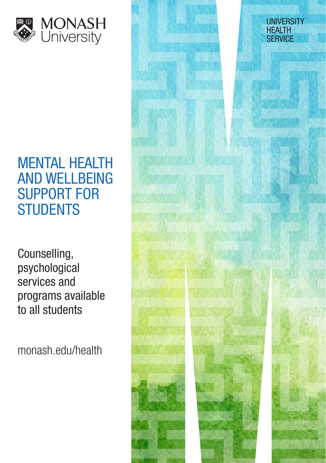

# MENTAL HEALTH AND WELLBEING SUPPORT FOR **STUDENTS**

Counselling, psychological services and programs available to all students

monash.edu/health